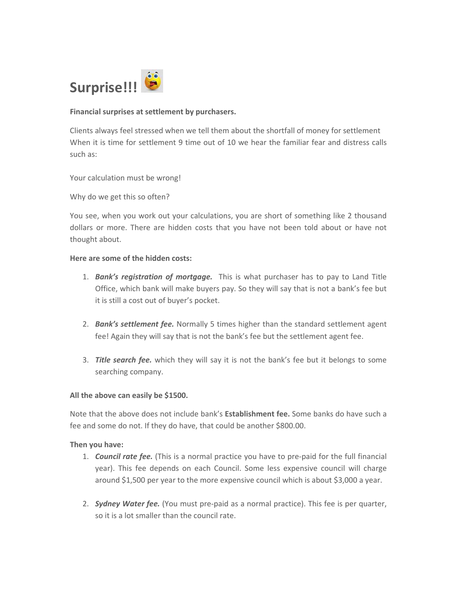

### **Financial surprises at settlement by purchasers.**

Clients always feel stressed when we tell them about the shortfall of money for settlement When it is time for settlement 9 time out of 10 we hear the familiar fear and distress calls such as:

Your calculation must be wrong!

Why do we get this so often?

You see, when you work out your calculations, you are short of something like 2 thousand dollars or more. There are hidden costs that you have not been told about or have not thought about.

### **Here are some of the hidden costs:**

- 1. *Bank's registration of mortgage.* This is what purchaser has to pay to Land Title Office, which bank will make buyers pay. So they will say that is not a bank's fee but it is still a cost out of buyer's pocket.
- 2. *Bank's settlement fee.* Normally 5 times higher than the standard settlement agent fee! Again they will say that is not the bank's fee but the settlement agent fee.
- 3. *Title search fee.* which they will say it is not the bank's fee but it belongs to some searching company.

#### **All the above can easily be \$1500.**

Note that the above does not include bank's **Establishment fee.** Some banks do have such a fee and some do not. If they do have, that could be another \$800.00.

#### **Then you have:**

- 1. *Council rate fee.* (This is a normal practice you have to pre‐paid for the full financial year). This fee depends on each Council. Some less expensive council will charge around \$1,500 per year to the more expensive council which is about \$3,000 a year.
- 2. *Sydney Water fee.* (You must pre‐paid as a normal practice). This fee is per quarter, so it is a lot smaller than the council rate.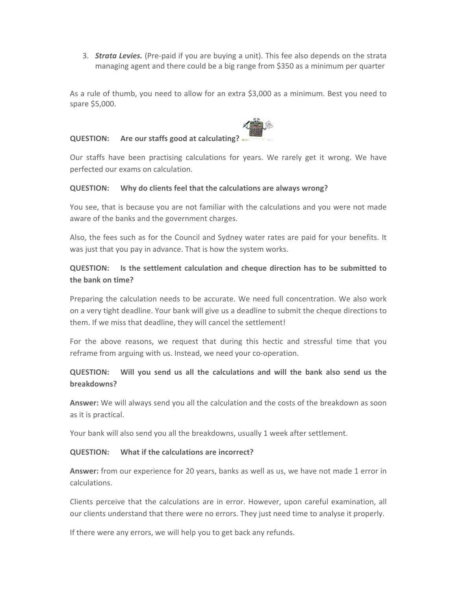3. *Strata Levies.* (Pre‐paid if you are buying a unit). This fee also depends on the strata managing agent and there could be a big range from \$350 as a minimum per quarter

As a rule of thumb, you need to allow for an extra \$3,000 as a minimum. Best you need to spare \$5,000.

### **QUESTION: Are our staffs good at calculating?**



Our staffs have been practising calculations for years. We rarely get it wrong. We have perfected our exams on calculation.

#### **QUESTION: Why do clients feel that the calculations are always wrong?**

You see, that is because you are not familiar with the calculations and you were not made aware of the banks and the government charges.

Also, the fees such as for the Council and Sydney water rates are paid for your benefits. It was just that you pay in advance. That is how the system works.

# **QUESTION: Is the settlement calculation and cheque direction has to be submitted to the bank on time?**

Preparing the calculation needs to be accurate. We need full concentration. We also work on a very tight deadline. Your bank will give us a deadline to submit the cheque directions to them. If we miss that deadline, they will cancel the settlement!

For the above reasons, we request that during this hectic and stressful time that you reframe from arguing with us. Instead, we need your co-operation.

# **QUESTION: Will you send us all the calculations and will the bank also send us the breakdowns?**

**Answer:** We will always send you all the calculation and the costs of the breakdown as soon as it is practical.

Your bank will also send you all the breakdowns, usually 1 week after settlement.

## **QUESTION: What if the calculations are incorrect?**

**Answer:** from our experience for 20 years, banks as well as us, we have not made 1 error in calculations.

Clients perceive that the calculations are in error. However, upon careful examination, all our clients understand that there were no errors. They just need time to analyse it properly.

If there were any errors, we will help you to get back any refunds.